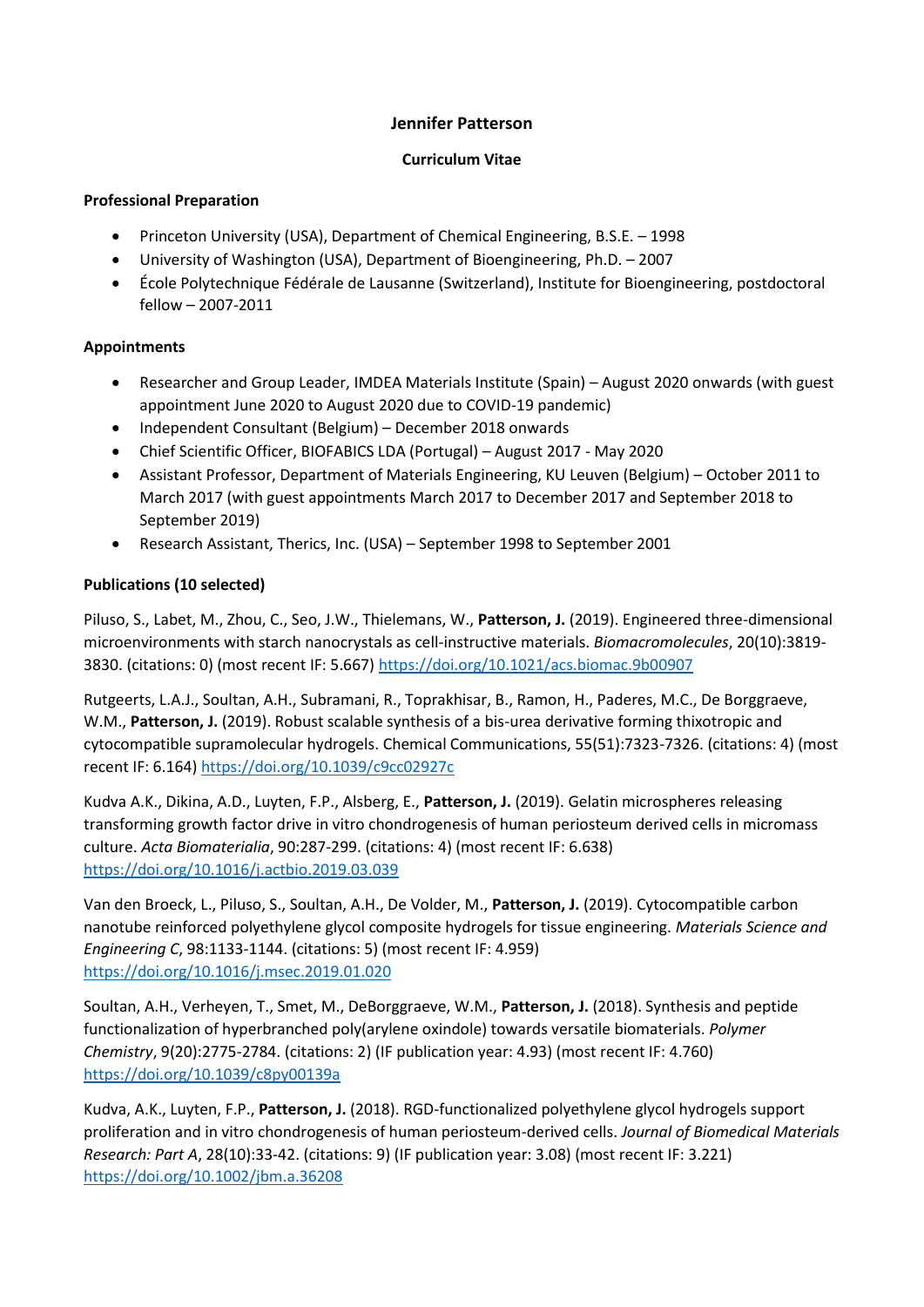## **Jennifer Patterson**

### **Curriculum Vitae**

#### **Professional Preparation**

- Princeton University (USA), Department of Chemical Engineering, B.S.E. 1998
- University of Washington (USA), Department of Bioengineering, Ph.D. 2007
- École Polytechnique Fédérale de Lausanne (Switzerland), Institute for Bioengineering, postdoctoral fellow – 2007-2011

### **Appointments**

- Researcher and Group Leader, IMDEA Materials Institute (Spain) August 2020 onwards (with guest appointment June 2020 to August 2020 due to COVID-19 pandemic)
- Independent Consultant (Belgium) December 2018 onwards
- Chief Scientific Officer, BIOFABICS LDA (Portugal) August 2017 May 2020
- Assistant Professor, Department of Materials Engineering, KU Leuven (Belgium) October 2011 to March 2017 (with guest appointments March 2017 to December 2017 and September 2018 to September 2019)
- Research Assistant, Therics, Inc. (USA) September 1998 to September 2001

### **Publications (10 selected)**

Piluso, S., Labet, M., Zhou, C., Seo, J.W., Thielemans, W., **Patterson, J.** (2019). Engineered three-dimensional microenvironments with starch nanocrystals as cell-instructive materials. *Biomacromolecules*, 20(10):3819- 3830. (citations: 0) (most recent IF: 5.667)<https://doi.org/10.1021/acs.biomac.9b00907>

Rutgeerts, L.A.J., Soultan, A.H., Subramani, R., Toprakhisar, B., Ramon, H., Paderes, M.C., De Borggraeve, W.M., **Patterson, J.** (2019). Robust scalable synthesis of a bis-urea derivative forming thixotropic and cytocompatible supramolecular hydrogels. Chemical Communications, 55(51):7323-7326. (citations: 4) (most recent IF: 6.164[\) https://doi.org/10.1039/c9cc02927c](https://doi.org/10.1039/c9cc02927c)

Kudva A.K., Dikina, A.D., Luyten, F.P., Alsberg, E., **Patterson, J.** (2019). Gelatin microspheres releasing transforming growth factor drive in vitro chondrogenesis of human periosteum derived cells in micromass culture. *Acta Biomaterialia*, 90:287-299. (citations: 4) (most recent IF: 6.638) <https://doi.org/10.1016/j.actbio.2019.03.039>

Van den Broeck, L., Piluso, S., Soultan, A.H., De Volder, M., **Patterson, J.** (2019). Cytocompatible carbon nanotube reinforced polyethylene glycol composite hydrogels for tissue engineering. *Materials Science and Engineering C*, 98:1133-1144. (citations: 5) (most recent IF: 4.959) <https://doi.org/10.1016/j.msec.2019.01.020>

Soultan, A.H., Verheyen, T., Smet, M., DeBorggraeve, W.M., **Patterson, J.** (2018). Synthesis and peptide functionalization of hyperbranched poly(arylene oxindole) towards versatile biomaterials. *Polymer Chemistry*, 9(20):2775-2784. (citations: 2) (IF publication year: 4.93) (most recent IF: 4.760) <https://doi.org/10.1039/c8py00139a>

Kudva, A.K., Luyten, F.P., **Patterson, J.** (2018). RGD-functionalized polyethylene glycol hydrogels support proliferation and in vitro chondrogenesis of human periosteum-derived cells. *Journal of Biomedical Materials Research: Part A*, 28(10):33-42. (citations: 9) (IF publication year: 3.08) (most recent IF: 3.221) <https://doi.org/10.1002/jbm.a.36208>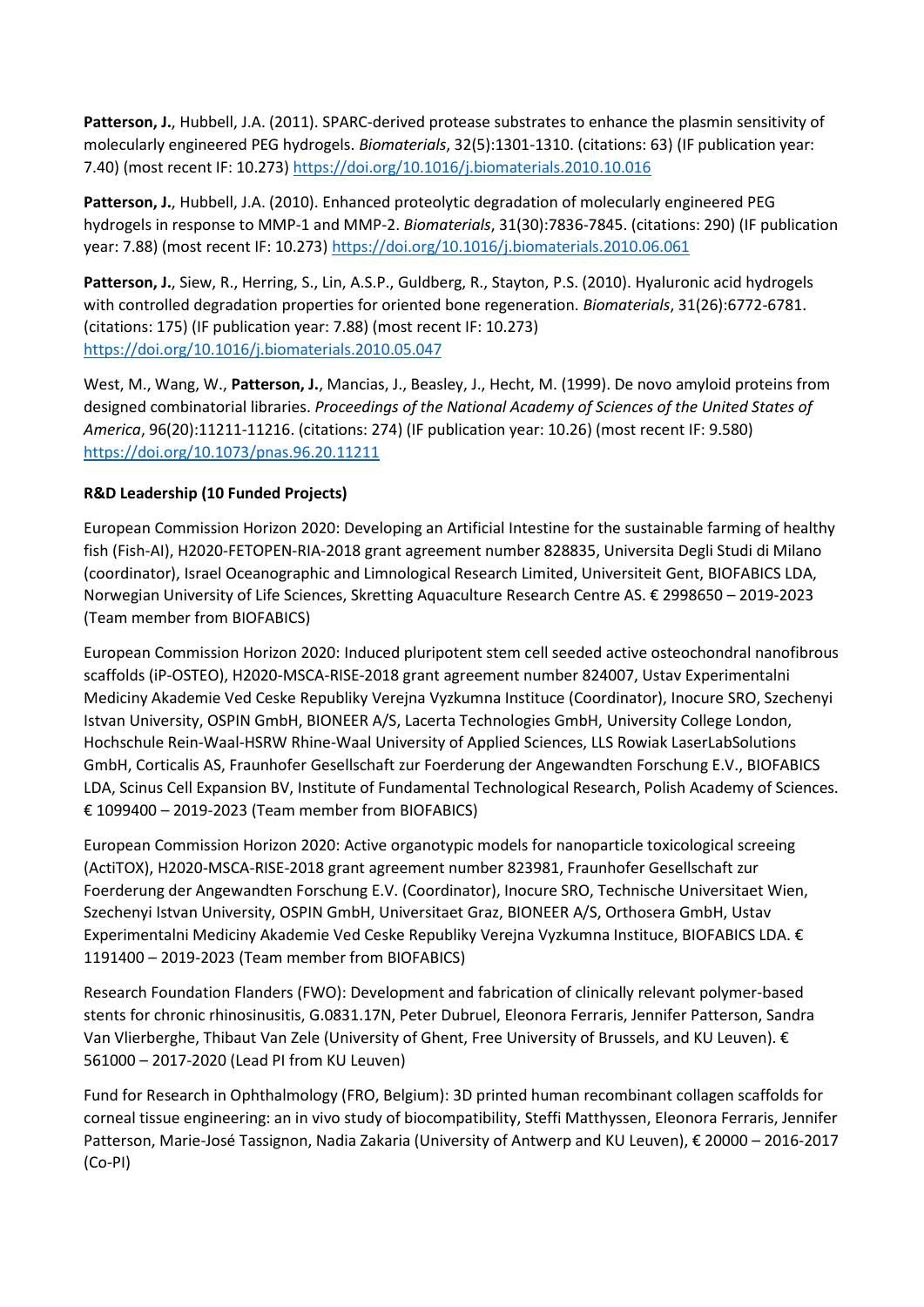**Patterson, J.**, Hubbell, J.A. (2011). SPARC-derived protease substrates to enhance the plasmin sensitivity of molecularly engineered PEG hydrogels. *Biomaterials*, 32(5):1301-1310. (citations: 63) (IF publication year: 7.40) (most recent IF: 10.273)<https://doi.org/10.1016/j.biomaterials.2010.10.016>

**Patterson, J.**, Hubbell, J.A. (2010). Enhanced proteolytic degradation of molecularly engineered PEG hydrogels in response to MMP-1 and MMP-2. *Biomaterials*, 31(30):7836-7845. (citations: 290) (IF publication year: 7.88) (most recent IF: 10.273)<https://doi.org/10.1016/j.biomaterials.2010.06.061>

**Patterson, J.**, Siew, R., Herring, S., Lin, A.S.P., Guldberg, R., Stayton, P.S. (2010). Hyaluronic acid hydrogels with controlled degradation properties for oriented bone regeneration. *Biomaterials*, 31(26):6772-6781. (citations: 175) (IF publication year: 7.88) (most recent IF: 10.273) <https://doi.org/10.1016/j.biomaterials.2010.05.047>

West, M., Wang, W., **Patterson, J.**, Mancias, J., Beasley, J., Hecht, M. (1999). De novo amyloid proteins from designed combinatorial libraries. *Proceedings of the National Academy of Sciences of the United States of America*, 96(20):11211-11216. (citations: 274) (IF publication year: 10.26) (most recent IF: 9.580) <https://doi.org/10.1073/pnas.96.20.11211>

## **R&D Leadership (10 Funded Projects)**

European Commission Horizon 2020: Developing an Artificial Intestine for the sustainable farming of healthy fish (Fish-AI), H2020-FETOPEN-RIA-2018 grant agreement number 828835, Universita Degli Studi di Milano (coordinator), Israel Oceanographic and Limnological Research Limited, Universiteit Gent, BIOFABICS LDA, Norwegian University of Life Sciences, Skretting Aquaculture Research Centre AS. € 2998650 – 2019-2023 (Team member from BIOFABICS)

European Commission Horizon 2020: Induced pluripotent stem cell seeded active osteochondral nanofibrous scaffolds (iP-OSTEO), H2020-MSCA-RISE-2018 grant agreement number 824007, Ustav Experimentalni Mediciny Akademie Ved Ceske Republiky Verejna Vyzkumna Instituce (Coordinator), Inocure SRO, Szechenyi Istvan University, OSPIN GmbH, BIONEER A/S, Lacerta Technologies GmbH, University College London, Hochschule Rein-Waal-HSRW Rhine-Waal University of Applied Sciences, LLS Rowiak LaserLabSolutions GmbH, Corticalis AS, Fraunhofer Gesellschaft zur Foerderung der Angewandten Forschung E.V., BIOFABICS LDA, Scinus Cell Expansion BV, Institute of Fundamental Technological Research, Polish Academy of Sciences. € 1099400 – 2019-2023 (Team member from BIOFABICS)

European Commission Horizon 2020: Active organotypic models for nanoparticle toxicological screeing (ActiTOX), H2020-MSCA-RISE-2018 grant agreement number 823981, Fraunhofer Gesellschaft zur Foerderung der Angewandten Forschung E.V. (Coordinator), Inocure SRO, Technische Universitaet Wien, Szechenyi Istvan University, OSPIN GmbH, Universitaet Graz, BIONEER A/S, Orthosera GmbH, Ustav Experimentalni Mediciny Akademie Ved Ceske Republiky Verejna Vyzkumna Instituce, BIOFABICS LDA. € 1191400 – 2019-2023 (Team member from BIOFABICS)

Research Foundation Flanders (FWO): Development and fabrication of clinically relevant polymer-based stents for chronic rhinosinusitis, G.0831.17N, Peter Dubruel, Eleonora Ferraris, Jennifer Patterson, Sandra Van Vlierberghe, Thibaut Van Zele (University of Ghent, Free University of Brussels, and KU Leuven). € 561000 – 2017-2020 (Lead PI from KU Leuven)

Fund for Research in Ophthalmology (FRO, Belgium): 3D printed human recombinant collagen scaffolds for corneal tissue engineering: an in vivo study of biocompatibility, Steffi Matthyssen, Eleonora Ferraris, Jennifer Patterson, Marie-José Tassignon, Nadia Zakaria (University of Antwerp and KU Leuven), € 20000 – 2016-2017 (Co-PI)